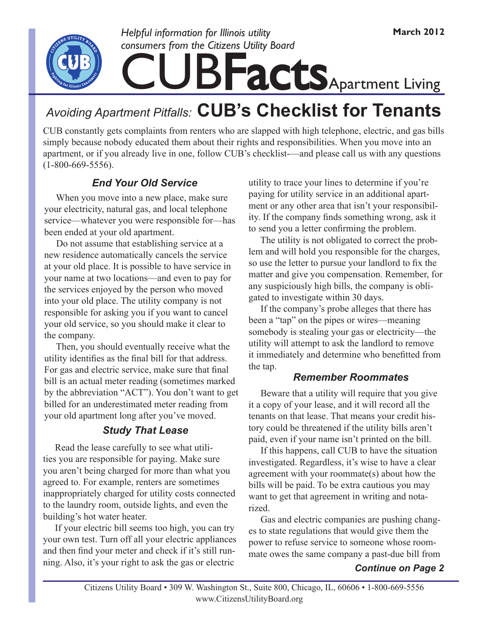

## **Facts** Apartment Living *Helpful information for Illinois utility consumers from the Citizens Utility Board*

### *Avoiding Apartment Pitfalls:* **CUB's Checklist for Tenants**

CUB constantly gets complaints from renters who are slapped with high telephone, electric, and gas bills simply because nobody educated them about their rights and responsibilities. When you move into an apartment, or if you already live in one, follow CUB's checklist-—and please call us with any questions (1-800-669-5556).

#### *End Your Old Service*

 When you move into a new place, make sure your electricity, natural gas, and local telephone service—whatever you were responsible for—has been ended at your old apartment.

 Do not assume that establishing service at a new residence automatically cancels the service at your old place. It is possible to have service in your name at two locations—and even to pay for the services enjoyed by the person who moved into your old place. The utility company is not responsible for asking you if you want to cancel your old service, so you should make it clear to the company.

 Then, you should eventually receive what the utility identifies as the final bill for that address. For gas and electric service, make sure that final bill is an actual meter reading (sometimes marked by the abbreviation "ACT"). You don't want to get billed for an underestimated meter reading from your old apartment long after you've moved.

#### *Study That Lease*

 Read the lease carefully to see what utilities you are responsible for paying. Make sure you aren't being charged for more than what you agreed to. For example, renters are sometimes inappropriately charged for utility costs connected to the laundry room, outside lights, and even the building's hot water heater.

 If your electric bill seems too high, you can try your own test. Turn off all your electric appliances and then find your meter and check if it's still running. Also, it's your right to ask the gas or electric

utility to trace your lines to determine if you're paying for utility service in an additional apartment or any other area that isn't your responsibility. If the company finds something wrong, ask it to send you a letter confirming the problem.

 The utility is not obligated to correct the problem and will hold you responsible for the charges, so use the letter to pursue your landlord to fix the matter and give you compensation. Remember, for any suspiciously high bills, the company is obligated to investigate within 30 days.

 If the company's probe alleges that there has been a "tap" on the pipes or wires—meaning somebody is stealing your gas or electricity—the utility will attempt to ask the landlord to remove it immediately and determine who benefitted from the tap.

#### *Remember Roommates*

 Beware that a utility will require that you give it a copy of your lease, and it will record all the tenants on that lease. That means your credit history could be threatened if the utility bills aren't paid, even if your name isn't printed on the bill.

 If this happens, call CUB to have the situation investigated. Regardless, it's wise to have a clear agreement with your roommate(s) about how the bills will be paid. To be extra cautious you may want to get that agreement in writing and notarized.

 Gas and electric companies are pushing changes to state regulations that would give them the power to refuse service to someone whose roommate owes the same company a past-due bill from

#### *Continue on Page 2*